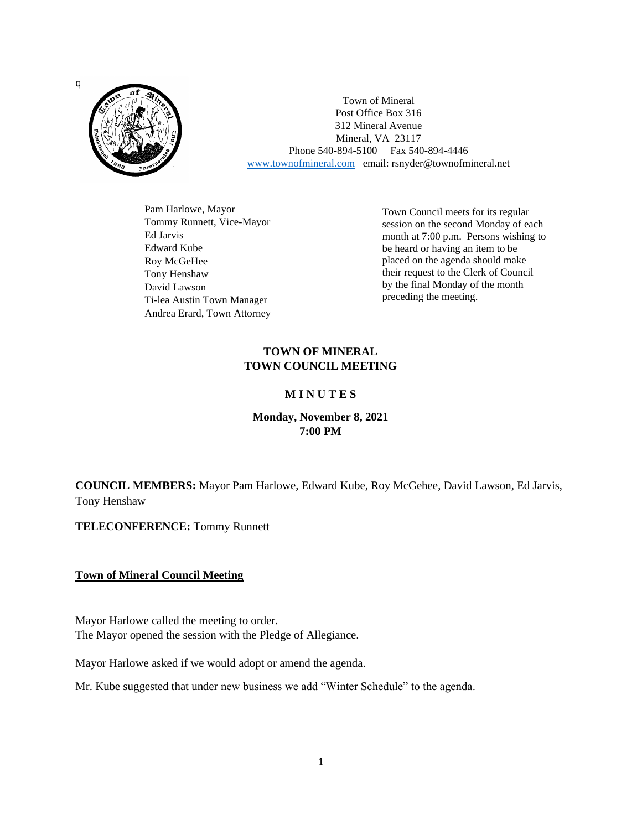

Town of Mineral Post Office Box 316 312 Mineral Avenue Mineral, VA 23117 Phone 540-894-5100 Fax 540-894-4446 [www.townofmineral.com](http://www.townofmineral.com/) email: rsnyder@townofmineral.net

Pam Harlowe, Mayor Tommy Runnett, Vice-Mayor Ed Jarvis Edward Kube Roy McGeHee Tony Henshaw David Lawson Ti-lea Austin Town Manager Andrea Erard, Town Attorney

Town Council meets for its regular session on the second Monday of each month at 7:00 p.m. Persons wishing to be heard or having an item to be placed on the agenda should make their request to the Clerk of Council by the final Monday of the month preceding the meeting.

# **TOWN OF MINERAL TOWN COUNCIL MEETING**

### **M I N U T E S**

## **Monday, November 8, 2021 7:00 PM**

**COUNCIL MEMBERS:** Mayor Pam Harlowe, Edward Kube, Roy McGehee, David Lawson, Ed Jarvis, Tony Henshaw

**TELECONFERENCE:** Tommy Runnett

### **Town of Mineral Council Meeting**

Mayor Harlowe called the meeting to order. The Mayor opened the session with the Pledge of Allegiance.

Mayor Harlowe asked if we would adopt or amend the agenda.

Mr. Kube suggested that under new business we add "Winter Schedule" to the agenda.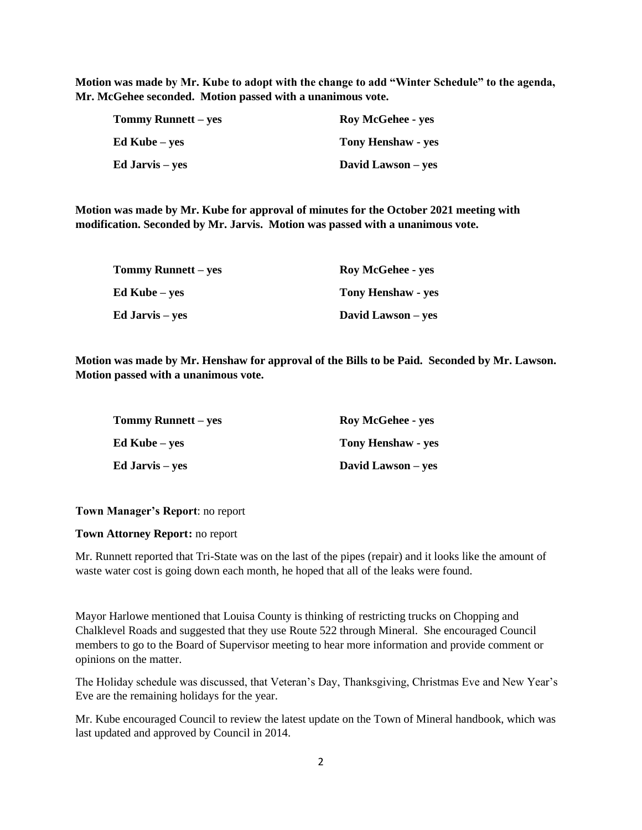**Motion was made by Mr. Kube to adopt with the change to add "Winter Schedule" to the agenda, Mr. McGehee seconded. Motion passed with a unanimous vote.**

| <b>Tommy Runnett – yes</b> | <b>Roy McGehee - yes</b>  |
|----------------------------|---------------------------|
| Ed Kube – yes              | <b>Tony Henshaw - yes</b> |
| Ed Jarvis – yes            | David Lawson – yes        |

**Motion was made by Mr. Kube for approval of minutes for the October 2021 meeting with modification. Seconded by Mr. Jarvis. Motion was passed with a unanimous vote.**

| <b>Tommy Runnett – yes</b> | <b>Roy McGehee - yes</b>  |
|----------------------------|---------------------------|
| Ed Kube – yes              | <b>Tony Henshaw - yes</b> |
| Ed Jarvis – yes            | David Lawson – yes        |

**Motion was made by Mr. Henshaw for approval of the Bills to be Paid. Seconded by Mr. Lawson. Motion passed with a unanimous vote.**

| <b>Tommy Runnett – yes</b> | <b>Roy McGehee - yes</b>  |
|----------------------------|---------------------------|
| Ed Kube – ves              | <b>Tony Henshaw - yes</b> |
| Ed Jarvis – yes            | David Lawson – yes        |

#### **Town Manager's Report**: no report

#### **Town Attorney Report:** no report

Mr. Runnett reported that Tri-State was on the last of the pipes (repair) and it looks like the amount of waste water cost is going down each month, he hoped that all of the leaks were found.

Mayor Harlowe mentioned that Louisa County is thinking of restricting trucks on Chopping and Chalklevel Roads and suggested that they use Route 522 through Mineral. She encouraged Council members to go to the Board of Supervisor meeting to hear more information and provide comment or opinions on the matter.

The Holiday schedule was discussed, that Veteran's Day, Thanksgiving, Christmas Eve and New Year's Eve are the remaining holidays for the year.

Mr. Kube encouraged Council to review the latest update on the Town of Mineral handbook, which was last updated and approved by Council in 2014.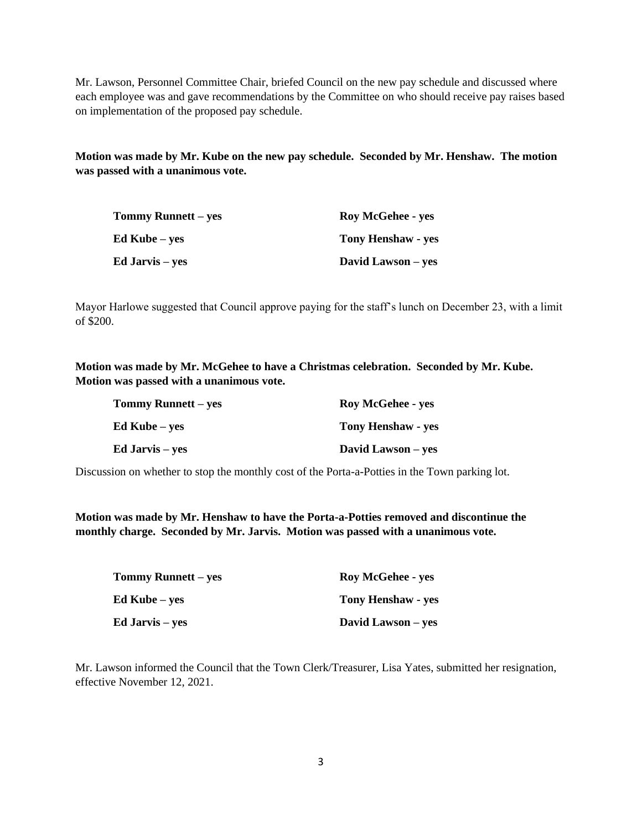Mr. Lawson, Personnel Committee Chair, briefed Council on the new pay schedule and discussed where each employee was and gave recommendations by the Committee on who should receive pay raises based on implementation of the proposed pay schedule.

**Motion was made by Mr. Kube on the new pay schedule. Seconded by Mr. Henshaw. The motion was passed with a unanimous vote.**

| <b>Tommy Runnett</b> – yes | <b>Roy McGehee - yes</b>  |
|----------------------------|---------------------------|
| <b>Ed Kube</b> – yes       | <b>Tony Henshaw - yes</b> |
| <b>Ed Jarvis</b> – yes     | David Lawson – yes        |

Mayor Harlowe suggested that Council approve paying for the staff's lunch on December 23, with a limit of \$200.

**Motion was made by Mr. McGehee to have a Christmas celebration. Seconded by Mr. Kube. Motion was passed with a unanimous vote.**

| Tommy Runnett – yes    | <b>Roy McGehee - yes</b>  |
|------------------------|---------------------------|
| <b>Ed Kube</b> – yes   | <b>Tony Henshaw - yes</b> |
| <b>Ed Jarvis</b> – yes | David Lawson – yes        |

Discussion on whether to stop the monthly cost of the Porta-a-Potties in the Town parking lot.

**Motion was made by Mr. Henshaw to have the Porta-a-Potties removed and discontinue the monthly charge. Seconded by Mr. Jarvis. Motion was passed with a unanimous vote.**

| <b>Tommy Runnett – yes</b> | <b>Roy McGehee - yes</b>  |
|----------------------------|---------------------------|
| Ed Kube – yes              | <b>Tony Henshaw - yes</b> |
| Ed Jarvis – yes            | David Lawson – yes        |

Mr. Lawson informed the Council that the Town Clerk/Treasurer, Lisa Yates, submitted her resignation, effective November 12, 2021.